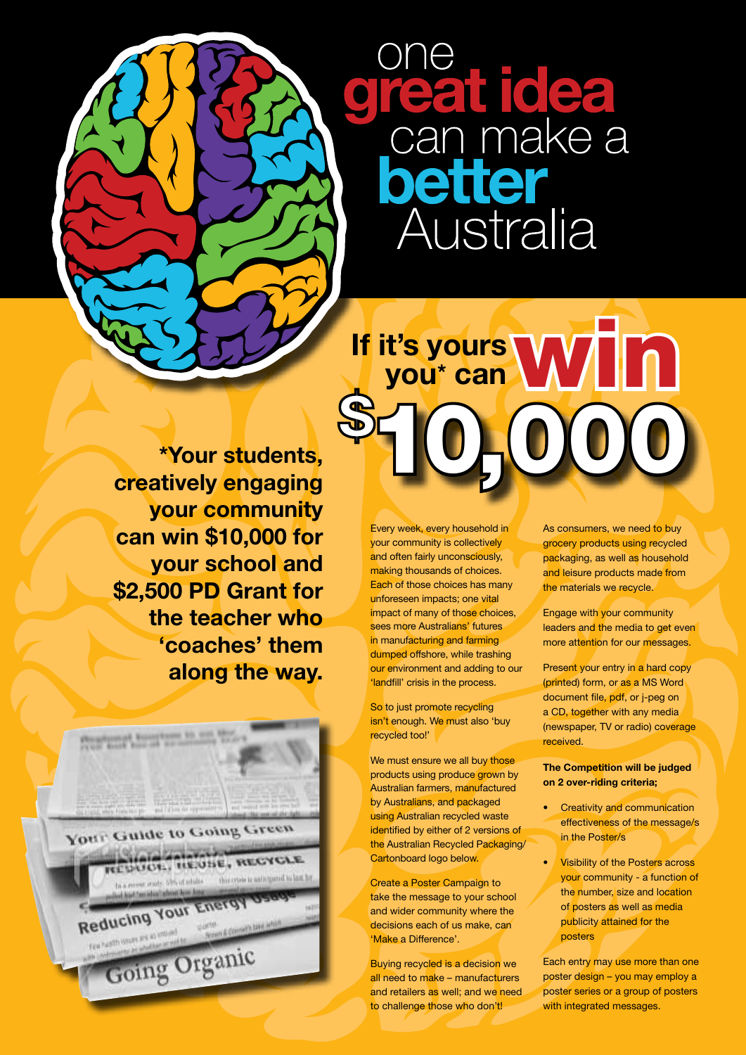reat idea<br>can make a etter Australia

## **\*Your students,** 10,000 **If it's yours**  t's yours<br>you\* can WID

**creatively engaging your community can win \$10,000 for your school and \$2,500 PD Grant for the teacher who 'coaches' them along the way.**



Every week, every household in your community is collectively and often fairly unconsciously, making thousands of choices. Each of those choices has many unforeseen impacts; one vital impact of many of those choices, sees more Australians' futures in manufacturing and farming dumped offshore, while trashing our environment and adding to our 'landfill' crisis in the process.

So to just promote recycling isn't enough. We must also 'buy recycled too!'

We must ensure we all buy those products using produce grown by Australian farmers, manufactured by Australians, and packaged using Australian recycled waste identified by either of 2 versions of the Australian Recycled Packaging/ Cartonboard logo below.

Create a Poster Campaign to take the message to your school and wider community where the decisions each of us make, can 'Make a Difference'.

Buying recycled is a decision we all need to make – manufacturers and retailers as well; and we need to challenge those who don't!

As consumers, we need to buy grocery products using recycled packaging, as well as household and leisure products made from the materials we recycle.

Engage with your community leaders and the media to get even more attention for our messages.

Present your entry in a hard copy (printed) form, or as a MS Word document file, pdf, or j-peg on a CD, together with any media (newspaper, TV or radio) coverage received.

**The Competition will be judged on 2 over-riding criteria;**

- **Creativity and communication** effectiveness of the message/s in the Poster/s
- **Visibility of the Posters across** your community - a function of the number, size and location of posters as well as media publicity attained for the posters

Each entry may use more than one poster design – you may employ a poster series or a group of posters with integrated messages.